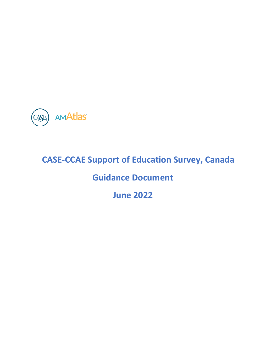

# **CASE-CCAE Support of Education Survey, Canada**

# **Guidance Document**

**June 2022**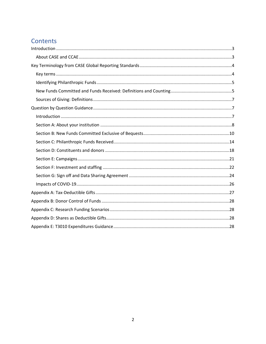### Contents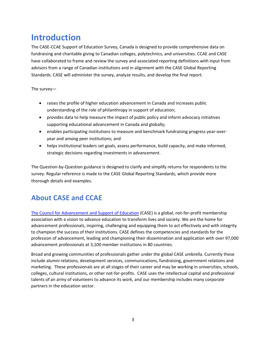# <span id="page-2-0"></span>**Introduction**

The CASE-CCAE Support of Education Survey, Canada is designed to provide comprehensive data on fundraising and charitable giving to Canadian colleges, polytechnics, and universities. CCAE and CASE have collaborated to frame and review the survey and associated reporting definitions with input from advisors from a range of Canadian institutions and in alignment with the CASE Global Reporting Standards. CASE will administer the survey, analyze results, and develop the final report.

The survey—

- raises the profile of higher education advancement in Canada and increases public understanding of the role of philanthropy in support of education;
- provides data to help measure the impact of public policy and inform advocacy initiatives supporting educational advancement in Canada and globally;
- enables participating institutions to measure and benchmark fundraising progress year-overyear and among peer institutions; and
- helps institutional leaders set goals, assess performance, build capacity, and make informed, strategic decisions regarding investments in advancement.

The Question-by-Question guidance is designed to clarify and simplify returns for respondents to the survey. Regular reference is made to the CASE Global Reporting Standards, which provide more thorough details and examples.

## <span id="page-2-1"></span>**About CASE and CCAE**

The Council for [Advancement](https://www.case.org/) and Support of Education (CASE) is a global, not-for-profit membership association with a vision to advance education to transform lives and society. We are the home for advancement professionals, inspiring, challenging and equipping them to act effectively and with integrity to champion the success of their institutions. CASE defines the competencies and standards for the profession of advancement, leading and championing their dissemination and application with over 97,000 advancement professionals at 3,100 member institutions in 80 countries.

Broad and growing communities of professionals gather under the global CASE umbrella. Currently these include alumni relations, development services, communications, fundraising, government relations and marketing. These professionals are at all stages of their career and may be working in universities, schools, colleges, cultural institutions, or other not-for-profits. CASE uses the intellectual capital and professional talents of an army of volunteers to advance its work, and our membership includes many corporate partners in the education sector.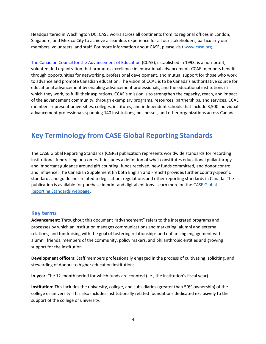Headquartered in Washington DC, CASE works across all continents from its regional offices in London, Singapore, and Mexico City to achieve a seamless experience for all our stakeholders, particularly our members, volunteers, and staff. For more information about CASE, please visit [www.case.org.](http://www.case.org/)

The Canadian Council for the [Advancement](http://www.ccaecanada.org/index.php/) of Education (CCAE), established in 1993, is a non-profit, volunteer led organization that promotes excellence in educational advancement. CCAE members benefit through opportunities for networking, professional development, and mutual support for those who work to advance and promote Canadian education. The vision of CCAE is to be Canada's authoritative source for educational advancement by enabling advancement professionals, and the educational institutions in which they work, to fulfil their aspirations. CCAE's mission is to strengthen the capacity, reach, and impact of the advancement community, through exemplary programs, resources, partnerships, and services. CCAE members represent universities, colleges, institutes, and independent schools that include 3,500 individual advancement professionals spanning 140 institutions, businesses, and other organizations across Canada.

### <span id="page-3-0"></span>**Key Terminology from CASE Global Reporting Standards**

The CASE Global Reporting Standards (CGRS) publication represents worldwide standards for recording institutional fundraising outcomes. It includes a definition of what constitutes educational philanthropy and important guidance around gift counting, funds received, new funds committed, and donor control and influence. The Canadian Supplement (in both English and French) provides further country-specific standards and guidelines related to legislation, regulations and other reporting standards in Canada. The publication is available for purchase in print and digital editions. Learn more on the [CASE Global](https://www.case.org/resources/amatlas/case-global-reporting-standards)  [Reporting Standards webpage.](https://www.case.org/resources/amatlas/case-global-reporting-standards)

### <span id="page-3-1"></span>**Key terms**

**Advancement:** Throughout this document "advancement" refers to the integrated programs and processes by which an institution manages communications and marketing, alumni and external relations, and fundraising with the goal of fostering relationships and enhancing engagement with alumni, friends, members of the community, policy makers, and philanthropic entities and growing support for the institution.

**Development officers**: Staff members professionally engaged in the process of cultivating, soliciting, and stewarding of donors to higher education institutions.

**In-year:** The 12-month period for which funds are counted (i.e., the institution's fiscal year).

**Institution:** This includes the university, college, and subsidiaries (greater than 50% ownership) of the college or university. This also includes institutionally related foundations dedicated exclusively to the support of the college or university.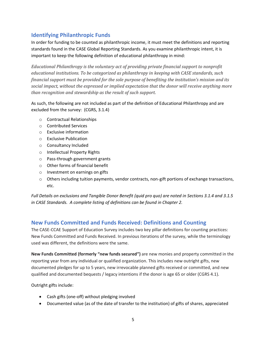### <span id="page-4-0"></span>**Identifying Philanthropic Funds**

In order for funding to be counted as philanthropic income, it must meet the definitions and reporting standards found in the CASE Global Reporting Standards. As you examine philanthropic intent, it is important to keep the following definition of educational philanthropy in mind:

<span id="page-4-2"></span>*Educational Philanthropy is the voluntary act of providing private financial support to nonprofit educational institutions. To be categorized as philanthropy in keeping with CASE standards, such financial support must be provided for the sole purpose of benefiting the institution's mission and its social impact, without the expressed or implied expectation that the donor will receive anything more than recognition and stewardship as the result of such support.*

As such, the following are not included as part of the definition of Educational Philanthropy and are excluded from the survey: (CGRS, 3.1.4)

- o Contractual Relationships
- o Contributed Services
- o Exclusive information
- o Exclusive Publication
- o Consultancy Included
- o Intellectual Property Rights
- o Pass-through government grants
- o Other forms of financial benefit
- o Investment on earnings on gifts
- $\circ$  Others including tuition payments, vendor contracts, non-gift portions of exchange transactions, etc.

*Full Details on exclusions and Tangible Donor Benefit (quid pro quo) are noted in Sections 3.1.4 and 3.1.5 in CASE Standards. A complete listing of definitions can be found in Chapter 2.* 

### <span id="page-4-1"></span>**New Funds Committed and Funds Received: Definitions and Counting**

The CASE-CCAE Support of Education Survey includes two key pillar definitions for counting practices: New Funds Committed and Funds Received. In previous iterations of the survey, while the terminology used was different, the definitions were the same.

**New Funds Committed (formerly "new funds secured")** are new monies and property committed in the reporting year from any individual or qualified organization. This includes new outright gifts, new documented pledges for up to 5 years, new irrevocable planned gifts received or committed, and new qualified and documented bequests / legacy intentions if the donor is age 65 or older (CGRS 4.1).

Outright gifts include:

- Cash gifts (one-off) without pledging involved
- Documented value (as of the date of transfer to the institution) of gifts of shares, appreciated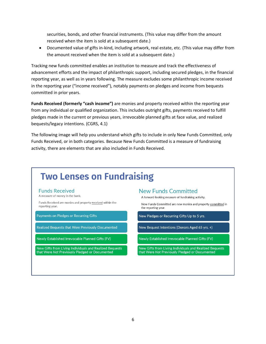securities, bonds, and other financial instruments. (This value may differ from the amount received when the item is sold at a subsequent date.)

• Documented value of gifts in-kind, including artwork, real estate, etc. (This value may differ from the amount received when the item is sold at a subsequent date.)

Tracking new funds committed enables an institution to measure and track the effectiveness of advancement efforts and the impact of philanthropic support, including secured pledges, in the financial reporting year, as well as in years following. The measure excludes some philanthropic income received in the reporting year ("income received"), notably payments on pledges and income from bequests committed in prior years.

**Funds Received (formerly "cash income")** are monies and property received within the reporting year from any individual or qualified organization. This includes outright gifts, payments received to fulfill pledges made in the current or previous years, irrevocable planned gifts at face value, and realized bequests/legacy intentions. (CGRS, 4.1)

The following image will help you understand which gifts to include in only New Funds Committed, only Funds Received, or in both categories. Because New Funds Committed is a measure of fundraising activity, there are elements that are also included in Funds Received.

# **Two Lenses on Fundraising**

#### **Funds Received**

A measure of money in the bank.

Funds Received are monies and property received within the reporting year.

Payments on Pledges or Recurring Gifts

Realized Bequests that Were Previously Documented

Newly Established Irrevocable Planned Gifts (FV)

New Gifts from Living Individuals and Realized Bequests that Were Not Previously Pledged or Documented

### **New Funds Committed**

A forward-looking measure of fundraising activity.

New Funds Committed are new monies and property committed in the reporting year.

New Pledges or Recurring Gifts Up to 5 yrs.

New Bequest Intentions (Donors Aged 65 yrs. +)

Newly Established Irrevocable Planned Gifts (FV)

New Gifts from Living Individuals and Realized Bequests that Were Not Previously Pledged or Documented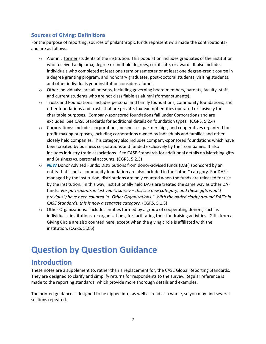### <span id="page-6-0"></span>**Sources of Giving: Definitions**

For the purpose of reporting, sources of philanthropic funds represent *who* made the contribution(s) and are as follows:

- $\circ$  Alumni: former students of the institution. This population includes graduates of the institution who received a diploma, degree or multiple degrees, certificate, or award. It also includes individuals who completed at least one term or semester or at least one degree-credit course in a degree granting program, and honorary graduates, post-doctoral students, visiting students, and other individuals your institution considers alumni.
- $\circ$  Other Individuals: are all persons, including governing board members, parents, faculty, staff, and current students who are not classifiable as alumni (former students).
- $\circ$  Trusts and Foundations: includes personal and family foundations, community foundations, and other foundations and trusts that are private, tax-exempt entities operated exclusively for charitable purposes. Company-sponsored foundations fall under Corporations and are excluded. See CASE Standards for additional details on foundation types. (CGRS, 5,2,4)
- $\circ$  Corporations: includes corporations, businesses, partnerships, and cooperatives organized for profit-making purposes, including corporations owned by individuals and families and other closely held companies. This category also includes company-sponsored foundations which have been created by business corporations and funded exclusively by their companies. It also includes industry trade associations. See CASE Standards for additional details on Matching gifts and Business vs. personal accounts. (CGRS, 5.2.3)
- o *NEW* Donor Advised Funds: Distributions from donor-advised funds (DAF) sponsored by an entity that is not a community foundation are also included in the "other" category. For DAF's managed by the institution, distributions are only counted when the funds are released for use by the institution. In this way, institutionally held DAFs are treated the same way as other DAF funds. *For participants in last year's survey – this is a new category, and these gifts would previously have been counted in "Other Organizations." With the added clarity around DAF's in CASE Standards, this is now a separate category.* (CGRS, 5.1.3)
- o Other Organizations: includes entities formed by a group of cooperating donors, such as individuals, institutions, or organizations, for facilitating their fundraising activities. Gifts from a Giving Circle are also counted here, except when the giving circle is affiliated with the institution. (CGRS, 5.2.6)

# <span id="page-6-1"></span>**Question by Question Guidance**

### <span id="page-6-2"></span>**Introduction**

These notes are a supplement to, rather than a replacement for, the CASE Global Reporting Standards. They are designed to clarify and simplify returns for respondents to the survey. Regular reference is made to the reporting standards, which provide more thorough details and examples.

The printed guidance is designed to be dipped into, as well as read as a whole, so you may find several sections repeated.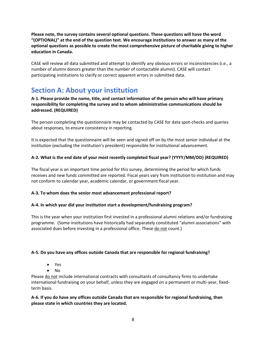**Please note, the survey contains several optional questions. These questions will have the word "(OPTIONAL)" at the end of the question text. We encourage institutions to answer as many of the optional questions as possible to create the most comprehensive picture of charitable giving to higher education in Canada.** 

CASE will review all data submitted and attempt to identify any obvious errors or inconsistencies (i.e., a number of alumni donors greater than the number of contactable alumni). CASE will contact participating institutions to clarify or correct apparent errors in submitted data.

## <span id="page-7-0"></span>**Section A: About your institution**

**A-1. Please provide the name, title, and contact information of the person who will have primary responsibility for completing the survey and to whom administrative communications should be addressed. (REQUIRED)**

The person completing the questionnaire may be contacted by CASE for data spot-checks and queries about responses, to ensure consistency in reporting.

It is expected that the questionnaire will be seen and signed off on by the most senior individual at the institution (excluding the institution's president) responsible for institutional advancement.

### **A-2. What is the end date of your most recently completed fiscal year? (YYYY/MM/DD) (REQUIRED)**

The fiscal year is an important time period for this survey, determining the period for which funds receives and new funds committed are reported. Fiscal years vary from institution to institution and may not conform to calendar year, academic calendar, or government fiscal year.

### **A-3. To whom does the senior most advancement professional report?**

### **A-4. In which year did your institution start a development/fundraising program?**

This is the year when your institution first invested in a professional alumni relations and/or fundraising programme. (Some institutions have historically had separately constituted "alumni associations" with associated dues before investing in a professional office. These do not count.)

### **A-5. Do you have any offices outside Canada that are responsible for regional fundraising?**

- Yes
- No

Please do not include international contracts with consultants of consultancy firms to undertake international fundraising on your behalf, unless they are engaged on a permanent or multi-year, fixedterm basis.

### **A-6. If you do have any offices outside Canada that are responsible for regional fundraising, then please state in which countries they are located.**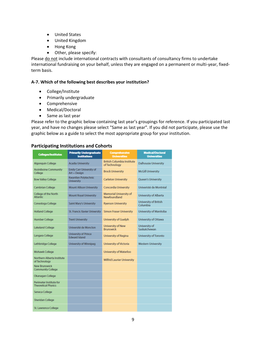- United States
- United Kingdom
- Hong Kong
- Other, please specify:

Please do not include international contracts with consultants of consultancy firms to undertake international fundraising on your behalf, unless they are engaged on a permanent or multi-year, fixedterm basis.

#### **A-7. Which of the following best describes your institution?**

- College/Institute
- Primarily undergraduate
- Comprehensive
- Medical/Doctoral
- Same as last year

Please refer to the graphic below containing last year's groupings for reference. If you participated last year, and have no changes please select "Same as last year". If you did not participate, please use the graphic below as a guide to select the most appropriate group for your institution.

### **Participating Institutions and Cohorts**

| <b>Colleges/Institutes</b>                            | <b>Primarily Undergraduate</b><br><b>Institutions</b> | <b>Comprehensive</b><br><b>Universities</b>        | <b>Medical/Doctoral</b><br><b>Universities</b> |
|-------------------------------------------------------|-------------------------------------------------------|----------------------------------------------------|------------------------------------------------|
| <b>Algonquin College</b>                              | <b>Acadia University</b>                              | <b>British Columbia Institute</b><br>of Technology | <b>Dalhousie University</b>                    |
| <b>Assiniboine Community</b><br>College               | <b>Emily Carr University of</b><br>Art + Design       | <b>Brock University</b>                            | <b>McGill University</b>                       |
| <b>Bow Valley College</b>                             | Kwantlen Polytechnic<br><b>University</b>             | <b>Carleton University</b>                         | Queen's University                             |
| <b>Cambrian College</b>                               | <b>Mount Allison University</b>                       | <b>Concordia University</b>                        | Univeristé de Montréal                         |
| College of the North<br><b>Atlantic</b>               | <b>Mount Royal University</b>                         | <b>Memorial University of</b><br>Newfoundland      | University of Alberta                          |
| Conestoga College                                     | Saint Mary's University                               | <b>Ryerson University</b>                          | University of British<br>Columbia              |
| <b>Holland College</b>                                | <b>St. Francis Xavier University</b>                  | <b>Simon Fraser University</b>                     | University of Manitoba                         |
| <b>Humber College</b>                                 | <b>Trent University</b>                               | University of Guelph                               | University of Ottawa                           |
| Lakeland College                                      | Université de Moncton                                 | <b>University of New</b><br><b>Brunswick</b>       | University of<br>Saskatchewan                  |
| Langara College                                       | <b>University of Prince</b><br><b>Edward Island</b>   | <b>University of Regina</b>                        | <b>University of Toronto</b>                   |
| Lethbridge College                                    | <b>University of Winnipeg</b>                         | University of Victoria                             | <b>Western University</b>                      |
| Mohawk College                                        |                                                       | University of Waterloo                             |                                                |
| Northern Alberta Institute<br>of Technology           |                                                       | <b>Wilfrid Laurier University</b>                  |                                                |
| <b>New Brunswick</b><br><b>Community College</b>      |                                                       |                                                    |                                                |
| Okanagan College                                      |                                                       |                                                    |                                                |
| Perimeter Institute for<br><b>Theoretical Physics</b> |                                                       |                                                    |                                                |
| Seneca College                                        |                                                       |                                                    |                                                |
| <b>Sheridan College</b>                               |                                                       |                                                    |                                                |
| St. Lawrence College                                  |                                                       |                                                    |                                                |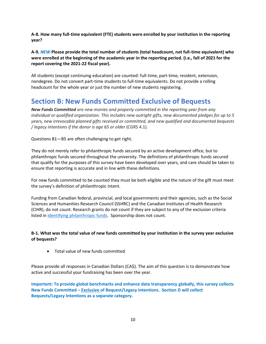**A-8. How many full-time equivalent (FTE) students were enrolled by your institution in the reporting year?**

**A-9.** *NEW* **Please provide the total number of students (total headcount, not full-time equivalent) who were enrolled at the beginning of the academic year in the reporting period. (i.e., fall of 2021 for the report covering the 2021-22 fiscal year).** 

All students (except continuing education) are counted: full-time, part-time, resident, extension, nondegree. Do not convert part-time students to full-time equivalents. Do not provide a rolling headcount for the whole year or just the number of new students registering.

### <span id="page-9-0"></span>**Section B: New Funds Committed Exclusive of Bequests**

*New Funds Committed are new monies and property committed in the reporting year from any individual or qualified organization. This includes new outright gifts, new documented pledges for up to 5 years, new irrevocable planned gifts received or committed, and new qualified and documented bequests / legacy intentions if the donor is age 65 or older* (CGRS 4.1)*.*

Questions B1—B5 are often challenging to get right.

They do not merely refer to philanthropic funds secured by an active development office, but to philanthropic funds secured throughout the university. The definitions of philanthropic funds secured that qualify for the purposes of this survey have been developed over years, and care should be taken to ensure that reporting is accurate and in line with these definitions.

For new funds committed to be counted they must be both eligible and the nature of the gift must meet the survey's definition of philanthropic intent.

Funding from Canadian federal, provincial, and local governments and their agencies, such as the Social Sciences and Humanities Research Council (SSHRC) and the Canadian Institutes of Health Research (CIHR), do not count. Research grants do not count if they are subject to any of the exclusion criteria listed i[n Identifying philanthropic funds.](#page-4-0) Sponsorship does not count.

### **B-1. What was the total value of new funds committed by your institution in the survey year exclusive of bequests?**

• Total value of new funds committed

Please provide all responses in Canadian Dollars (CA\$). The aim of this question is to demonstrate how active and successful your fundraising has been over the year.

**Important: To provide global benchmarks and enhance data transparency globally, this survey collects New Funds Committed – Exclusive of Bequest/Legacy Intentions. Section D will collect Bequests/Legacy Intentions as a separate category.**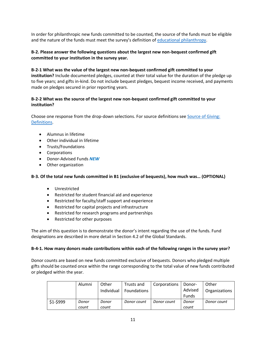In order for philanthropic new funds committed to be counted, the source of the funds must be eligible and the nature of the funds must meet the survey's definition of [educational philanthropy.](#page-4-2)

### **B-2. Please answer the following questions about the largest new non-bequest confirmed gift committed to your institution in the survey year.**

### **B-2-1 What was the value of the largest new non-bequest confirmed gift committed to your**

**institution?** Include documented pledges, counted at their total value for the duration of the pledge up to five years; and gifts in-kind. Do not include bequest pledges, bequest income received, and payments made on pledges secured in prior reporting years.

### **B-2-2 What was the source of the largest new non-bequest confirmed gift committed to your institution?**

Choose one response from the drop-down selections. For source definitions see [Source of Giving:](#page-6-0)  [Definitions.](#page-6-0)

- Alumnus in lifetime
- Other individual in lifetime
- Trusts/Foundations
- Corporations
- Donor-Advised Funds *NEW*
- Other organization

#### **B-3. Of the total new funds committed in B1 (exclusive of bequests), how much was… (OPTIONAL)**

- Unrestricted
- Restricted for student financial aid and experience
- Restricted for faculty/staff support and experience
- Restricted for capital projects and infrastructure
- Restricted for research programs and partnerships
- Restricted for other purposes

The aim of this question is to demonstrate the donor's intent regarding the use of the funds. Fund designations are described in more detail in Section 4.2 of the Global Standards.

#### **B-4-1. How many donors made contributions within each of the following ranges in the survey year?**

Donor counts are based on new funds committed exclusive of bequests. Donors who pledged multiple gifts should be counted once within the range corresponding to the total value of new funds contributed or pledged within the year.

|           | Alumni         | Other<br>Individual | Trusts and<br><b>Foundations</b> | Corporations | Donor-<br>Advised<br>Funds | Other<br>Organizations |
|-----------|----------------|---------------------|----------------------------------|--------------|----------------------------|------------------------|
| $$1-$999$ | Donor<br>count | Donor<br>count      | Donor count                      | Donor count  | Donor<br>count             | Donor count            |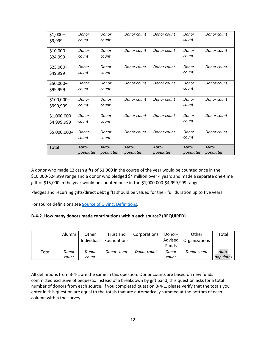| $$1,000-$     | Donor     | Donor     | Donor count | Donor count | Donor     | Donor count |
|---------------|-----------|-----------|-------------|-------------|-----------|-------------|
| \$9,999       | count     | count     |             |             | count     |             |
| \$10,000-     | Donor     | Donor     | Donor count | Donor count | Donor     | Donor count |
| \$24,999      | count     | count     |             |             | count     |             |
| \$25,000-     | Donor     | Donor     | Donor count | Donor count | Donor     | Donor count |
| \$49,999      | count     | count     |             |             | count     |             |
| \$50,000-     | Donor     | Donor     | Donor count | Donor count | Donor     | Donor count |
| \$99,999      | count     | count     |             |             | count     |             |
| \$100,000-    | Donor     | Donor     | Donor count | Donor count | Donor     | Donor count |
| \$999,999     | count     | count     |             |             | count     |             |
| $$1,000,000-$ | Donor     | Donor     | Donor count | Donor count | Donor     | Donor count |
| \$4,999,999   | count     | count     |             |             | count     |             |
| $$5,000,000+$ | Donor     | Donor     | Donor count | Donor count | Donor     | Donor count |
|               | count     | count     |             |             | count     |             |
| Total         | Auto-     | Auto-     | Auto-       | Auto-       | Auto-     | Auto-       |
|               | populates | populates | populates   | populates   | populates | populates   |

A donor who made 12 cash gifts of \$1,000 in the course of the year would be counted once in the \$10,000-\$24,999 range and a donor who pledged \$4 million over 4 years and made a separate one-time gift of \$15,000 in the year would be counted once in the \$1,000,000-\$4,999,999 range.

Pledges and recurring gifts/direct debt gifts should be valued for their full duration up to five years.

For source definitions see [Source of Giving: Definitions.](#page-6-0)

#### **B-4-2. How many donors made contributions within each source? (REQUIRED)**

|       | Alumni | Other      | Trust and          | Corporations | Donor-       | Other         | Total     |
|-------|--------|------------|--------------------|--------------|--------------|---------------|-----------|
|       |        | Individual | <b>Foundations</b> |              | Advised      | Organizations |           |
|       |        |            |                    |              | <b>Funds</b> |               |           |
| Total | Donor  | Donor      | Donor count        | Donor count  | Donor        | Donor count   | Auto-     |
|       | count  | count      |                    |              | count        |               | populates |

All definitions from B-4-1 are the same in this question. Donor counts are based on new funds committed exclusive of bequests. Instead of a breakdown by gift band, this question asks for a total number of donors from each source. If you completed question B-4-1, please verify that the totals you enter in this question are equal to the totals that are automatically summed at the bottom of each column within the survey.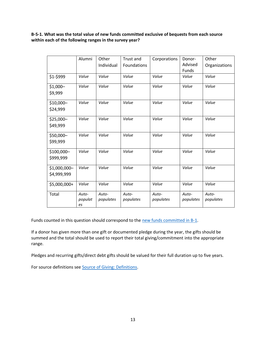**B-5-1. What was the total value of new funds committed exclusive of bequests from each source within each of the following ranges in the survey year?** 

|                             | Alumni                 | Other              | Trust and          | Corporations       | Donor-             | Other              |
|-----------------------------|------------------------|--------------------|--------------------|--------------------|--------------------|--------------------|
|                             |                        | Individual         | Foundations        |                    | Advised<br>Funds   | Organizations      |
| \$1-\$999                   | Value                  | Value              | Value              | Value              | Value              | Value              |
| \$1,000-<br>\$9,999         | Value                  | Value              | Value              | Value              | Value              | Value              |
| \$10,000-<br>\$24,999       | Value                  | Value              | Value              | Value              | Value              | Value              |
| \$25,000-<br>\$49,999       | Value                  | Value              | Value              | Value              | Value              | Value              |
| \$50,000-<br>\$99,999       | Value                  | Value              | Value              | Value              | Value              | Value              |
| \$100,000-<br>\$999,999     | Value                  | Value              | Value              | Value              | Value              | Value              |
| \$1,000,000-<br>\$4,999,999 | Value                  | Value              | Value              | Value              | Value              | Value              |
| \$5,000,000+                | Value                  | Value              | Value              | Value              | Value              | Value              |
| Total                       | Auto-<br>populat<br>es | Auto-<br>populates | Auto-<br>populates | Auto-<br>populates | Auto-<br>populates | Auto-<br>populates |

Funds counted in this question should correspond to the new funds committed in B-1.

If a donor has given more than one gift or documented pledge during the year, the gifts should be summed and the total should be used to report their total giving/commitment into the appropriate range.

Pledges and recurring gifts/direct debt gifts should be valued for their full duration up to five years.

For source definitions see **Source of Giving: Definitions**.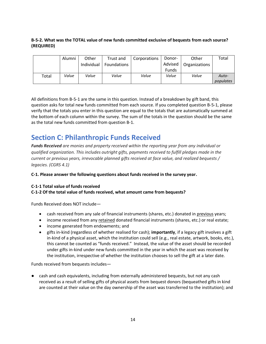### **B-5-2. What was the TOTAL value of new funds committed exclusive of bequests from each source? (REQUIRED)**

|       | Alumni | Other      | Trust and          | Corporations | Donor-       | Other         | Total     |
|-------|--------|------------|--------------------|--------------|--------------|---------------|-----------|
|       |        | Individual | <b>Foundations</b> |              | Advised      | Organizations |           |
|       |        |            |                    |              | <b>Funds</b> |               |           |
| Total | Value  | Value      | Value              | Value        | Value        | Value         | Auto-     |
|       |        |            |                    |              |              |               | populates |

All definitions from B-5-1 are the same in this question. Instead of a breakdown by gift band, this question asks for total new funds committed from each source. If you completed question B-5-1, please verify that the totals you enter in this question are equal to the totals that are automatically summed at the bottom of each column within the survey. The sum of the totals in the question should be the same as the total new funds committed from question B-1.

### <span id="page-13-0"></span>**Section C: Philanthropic Funds Received**

*Funds Received are monies and property received within the reporting year from any individual or qualified organization. This includes outright gifts, payments received to fulfill pledges made in the current or previous years, irrevocable planned gifts received at face value, and realized bequests / legacies. (CGRS 4.1)*

**C-1. Please answer the following questions about funds received in the survey year.** 

### **C-1-1 Total value of funds received**

### **C-1-2 Of the total value of funds received, what amount came from bequests?**

Funds Received does NOT include—

- cash received from any sale of financial instruments (shares, etc.) donated in previous years;
- income received from any retained donated financial instruments (shares, etc.) or real estate;
- income generated from endowments; and
- gifts in-kind (regardless of whether realised for cash); **importantly**, if a legacy gift involves a gift in-kind of a physical asset, which the institution could sell (e.g., real estate, artwork, books, etc.), this cannot be counted as "funds received." Instead, the value of the asset should be recorded under gifts in-kind under new funds committed in the year in which the asset was received by the institution, irrespective of whether the institution chooses to sell the gift at a later date.

Funds received from bequests includes—

● cash and cash equivalents, including from externally administered bequests, but not any cash received as a result of selling gifts of physical assets from bequest donors (bequeathed gifts in kind are counted at their value on the day ownership of the asset was transferred to the institution); and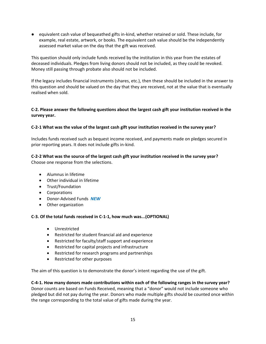● equivalent cash value of bequeathed gifts in-kind, whether retained or sold. These include, for example, real estate, artwork, or books. The equivalent cash value should be the independently assessed market value on the day that the gift was received.

This question should only include funds received by the institution in this year from the estates of deceased individuals. Pledges from living donors should not be included, as they could be revoked. Money still passing through probate also should not be included.

If the legacy includes financial instruments (shares, etc.), then these should be included in the answer to this question and should be valued on the day that they are received, not at the value that is eventually realised when sold.

### **C-2. Please answer the following questions about the largest cash gift your institution received in the survey year.**

### **C-2-1 What was the value of the largest cash gift your institution received in the survey year?**

Includes funds received such as bequest income received, and payments made on pledges secured in prior reporting years. It does not include gifts in-kind.

### **C-2-2 What was the source of the largest cash gift your institution received in the survey year?** Choose one response from the selections.

- Alumnus in lifetime
- Other individual in lifetime
- Trust/Foundation
- Corporations
- Donor-Advised Funds *NEW*
- Other organization

#### **C-3. Of the total funds received in C-1-1, how much was...(OPTIONAL)**

- Unrestricted
- Restricted for student financial aid and experience
- Restricted for faculty/staff support and experience
- Restricted for capital projects and infrastructure
- Restricted for research programs and partnerships
- Restricted for other purposes

The aim of this question is to demonstrate the donor's intent regarding the use of the gift.

**C-4-1. How many donors made contributions within each of the following ranges in the survey year?**  Donor counts are based on Funds Received, meaning that a "donor" would not include someone who pledged but did not pay during the year. Donors who made multiple gifts should be counted once within the range corresponding to the total value of gifts made during the year.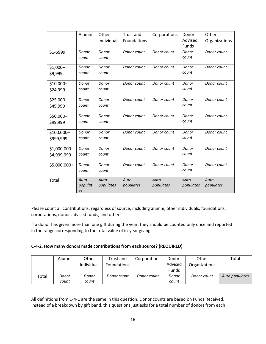|               | Alumni        | Other      | Trust and   | Corporations | Donor-       | Other         |
|---------------|---------------|------------|-------------|--------------|--------------|---------------|
|               |               | Individual | Foundations |              | Advised      | Organizations |
|               |               |            |             |              | <b>Funds</b> |               |
| \$1-\$999     | Donor         | Donor      | Donor count | Donor count  | Donor        | Donor count   |
|               | count         | count      |             |              | count        |               |
| $$1,000-$     | Donor         | Donor      | Donor count | Donor count  | Donor        | Donor count   |
| \$9,999       | count         | count      |             |              | count        |               |
| $$10,000-$    | Donor         | Donor      | Donor count | Donor count  | Donor        | Donor count   |
| \$24,999      | count         | count      |             |              | count        |               |
| \$25,000-     | Donor         | Donor      | Donor count | Donor count  | Donor        | Donor count   |
| \$49,999      | count         | count      |             |              | count        |               |
| \$50,000-     | Donor         | Donor      | Donor count | Donor count  | Donor        | Donor count   |
| \$99,999      | count         | count      |             |              | count        |               |
| \$100,000-    | Donor         | Donor      | Donor count | Donor count  | Donor        | Donor count   |
| \$999,999     | count         | count      |             |              | count        |               |
| $$1,000,000-$ | Donor         | Donor      | Donor count | Donor count  | Donor        | Donor count   |
| \$4,999,999   | count         | count      |             |              | count        |               |
| \$5,000,000+  | Donor         | Donor      | Donor count | Donor count  | Donor        | Donor count   |
|               | count         | count      |             |              | count        |               |
| Total         | Auto-         | Auto-      | Auto-       | Auto-        | Auto-        | Auto-         |
|               | populat<br>es | populates  | populates   | populates    | populates    | populates     |

Please count all contributions, regardless of source, including alumni, other individuals, foundations, corporations, donor-advised funds, and others.

If a donor has given more than one gift during the year, they should be counted only once and reported in the range corresponding to the total value of in-year giving

|  | C-4-2. How many donors made contributions from each source? (REQUIRED) |  |
|--|------------------------------------------------------------------------|--|
|--|------------------------------------------------------------------------|--|

|       | Alumni | Other      | Trust and          | Corporations | Donor-       | Other         | Total          |
|-------|--------|------------|--------------------|--------------|--------------|---------------|----------------|
|       |        | Individual | <b>Foundations</b> |              | Advised      | Organizations |                |
|       |        |            |                    |              | <b>Funds</b> |               |                |
| Total | Donor  | Donor      | Donor count        | Donor count  | Donor        | Donor count   | Auto populates |
|       | count  | count      |                    |              | count        |               |                |

All definitions from C-4-1 are the same in this question. Donor counts are based on Funds Received. Instead of a breakdown by gift band, this questions just asks for a total number of donors from each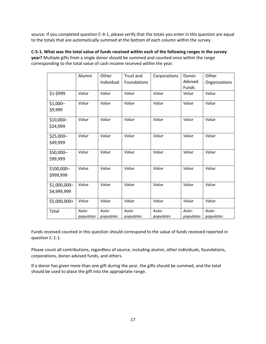source. If you completed question C-4-1, please verify that the totals you enter in this question are equal to the totals that are automatically summed at the bottom of each column within the survey.

**C-5-1. What was the total value of funds received within each of the following ranges in the survey year?** Multiple gifts from a single donor should be summed and counted once within the range corresponding to the total value of cash income received within the year.

|              | Alumni    | Other      | Trust and   | Corporations | Donor-    | Other         |
|--------------|-----------|------------|-------------|--------------|-----------|---------------|
|              |           | Individual | Foundations |              | Advised   | Organizations |
|              |           |            |             |              | Funds     |               |
| \$1-\$999    | Value     | Value      | Value       | Value        | Value     | Value         |
| $$1,000-$    | Value     | Value      | Value       | Value        | Value     | Value         |
| \$9,999      |           |            |             |              |           |               |
| \$10,000-    | Value     | Value      | Value       | Value        | Value     | Value         |
| \$24,999     |           |            |             |              |           |               |
| \$25,000-    | Value     | Value      | Value       | Value        | Value     | Value         |
| \$49,999     |           |            |             |              |           |               |
| \$50,000-    | Value     | Value      | Value       | Value        | Value     | Value         |
| \$99,999     |           |            |             |              |           |               |
| \$100,000-   | Value     | Value      | Value       | Value        | Value     | Value         |
| \$999,999    |           |            |             |              |           |               |
| \$1,000,000- | Value     | Value      | Value       | Value        | Value     | Value         |
| \$4,999,999  |           |            |             |              |           |               |
| \$5,000,000+ | Value     | Value      | Value       | Value        | Value     | Value         |
| Total        | Auto-     | Auto-      | Auto-       | Auto-        | Auto-     | Auto-         |
|              | populates | populates  | populates   | populates    | populates | populates     |

Funds received counted in this question should correspond to the value of funds received reported in question C-1-1.

Please count all contributions, regardless of source, including alumni, other individuals, foundations, corporations, donor-advised funds, and others.

If a donor has given more than one gift during the year, the gifts should be summed, and the total should be used to place the gift into the appropriate range.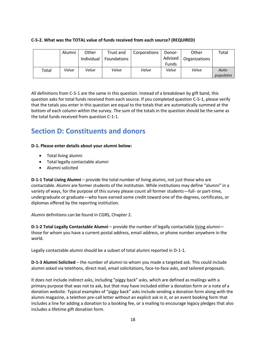### **C-5-2. What was the TOTAL value of funds received from each source? (REQUIRED)**

|       | Alumni | Other<br>Individual | Trust and<br><b>Foundations</b> | Corporations | Donor-<br>Advised     | Other<br>Organizations | Total     |
|-------|--------|---------------------|---------------------------------|--------------|-----------------------|------------------------|-----------|
| Total | Value  | Value               | Value                           | Value        | <b>Funds</b><br>Value | Value                  | Auto-     |
|       |        |                     |                                 |              |                       |                        | populates |

All definitions from C-5-1 are the same in this question. Instead of a breakdown by gift band, this question asks for total funds received from each source. If you completed question C-5-1, please verify that the totals you enter in this question are equal to the totals that are automatically summed at the bottom of each column within the survey. The sum of the totals in the question should be the same as the total funds received from question C-1-1.

### <span id="page-17-0"></span>**Section D: Constituents and donors**

### **D-1. Please enter details about your alumni below:**

- Total living alumni
- Total legally contactable alumni
- Alumni solicited

**D-1-1 Total Living Alumni** – provide the total number of living alumni, not just those who are contactable. Alumni are former students of the institution. While institutions may define "alumni" in a variety of ways, for the purpose of this survey please count all former students—full- or part-time, undergraduate or graduate—who have earned some credit toward one of the degrees, certificates, or diplomas offered by the reporting institution.

Alumni definitions can be found in CGRS, Chapter 2.

**D-1-2 Total Legally Contactable Alumni** – provide the number of legally contactable living alumni those for whom you have a current postal address, email address, or phone number anywhere in the world.

Legally contactable alumni should be a subset of total alumni reported in D-1-1.

**D-1-3 Alumni Solicited** – the number of alumni to whom you made a targeted ask. This could include alumni asked via telethons, direct mail, email solicitations, face-to-face asks, and tailored proposals.

It does not include indirect asks, including "piggy back" asks, which are defined as mailings with a primary purpose that was not to ask, but that may have included either a donation form or a note of a donation website. Typical examples of "piggy back" asks include sending a donation form along with the alumni magazine, a telethon pre-call letter without an explicit ask in it, or an event booking form that includes a line for adding a donation to a booking fee, or a mailing to encourage legacy pledges that also includes a lifetime gift donation form.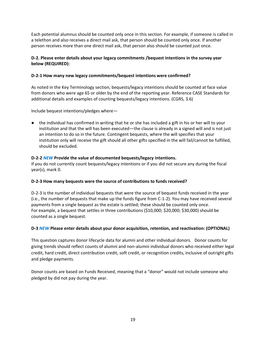Each potential alumnus should be counted only once in this section. For example, if someone is called in a telethon and also receives a direct mail ask, that person should be counted only once. If another person receives more than one direct mail ask, that person also should be counted just once.

### **D-2. Please enter details about your legacy commitments /bequest intentions in the survey year below (REQUIRED):**

### **D-2-1 How many new legacy commitments/bequest intentions were confirmed?**

As noted in the Key Terminology section, bequests/legacy intentions should be counted at face value from donors who were age 65 or older by the end of the reporting year. Reference CASE Standards for additional details and examples of counting bequests/legacy intentions. (CGRS, 3.6)

Include bequest intentions/pledges where—

● the individual has confirmed in writing that he or she has included a gift in his or her will to your institution and that the will has been executed—the clause is already in a signed will and is not just an intention to do so in the future. Contingent bequests, where the will specifies that your institution only will receive the gift should all other gifts specified in the will fail/cannot be fulfilled, should be excluded.

#### **D-2-2** *NEW* **Provide the value of documented bequests/legacy intentions.**

If you do not currently count bequests/legacy intentions or if you did not secure any during the fiscal year(s), mark 0.

#### **D-2-3 How many bequests were the source of contributions to funds received?**

D-2-3 is the number of individual bequests that were the source of bequest funds received in the year (i.e., the number of bequests that make up the funds figure from C-1-2). You may have received several payments from a single bequest as the estate is settled; these should be counted only once. For example, a bequest that settles in three contributions (\$10,000; \$20,000; \$30,000) should be counted as a single bequest.

#### **D-3** *NEW* **Please enter details about your donor acquisition, retention, and reactivation: (OPTIONAL)**

This question captures donor lifecycle data for alumni and other individual donors. Donor counts for giving trends should reflect counts of alumni and non-alumni individual donors who received either legal credit, hard credit, direct contribution credit, soft credit, or recognition credits, inclusive of outright gifts and pledge payments.

Donor counts are based on Funds Received, meaning that a "donor" would not include someone who pledged by did not pay during the year.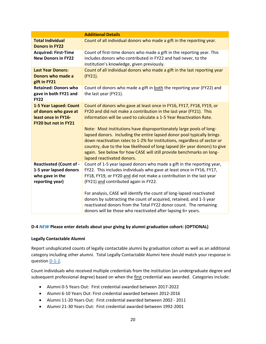|                                                                                                       | <b>Additional Details</b>                                                                                                                                                                                                                                                                                                                                                                                                                                                                                                                                                                                                            |
|-------------------------------------------------------------------------------------------------------|--------------------------------------------------------------------------------------------------------------------------------------------------------------------------------------------------------------------------------------------------------------------------------------------------------------------------------------------------------------------------------------------------------------------------------------------------------------------------------------------------------------------------------------------------------------------------------------------------------------------------------------|
| <b>Total Individual</b><br><b>Donors in FY22</b>                                                      | Count of all individual donors who made a gift in the reporting year.                                                                                                                                                                                                                                                                                                                                                                                                                                                                                                                                                                |
| <b>Acquired: First-Time</b><br><b>New Donors in FY22</b>                                              | Count of first-time donors who made a gift in the reporting year. This<br>includes donors who contributed in FY22 and had never, to the<br>institution's knowledge, given previously.                                                                                                                                                                                                                                                                                                                                                                                                                                                |
| <b>Last Year Donors:</b><br>Donors who made a<br>gift in FY21                                         | Count of all individual donors who made a gift in the last reporting year<br>(FY21).                                                                                                                                                                                                                                                                                                                                                                                                                                                                                                                                                 |
| <b>Retained: Donors who</b><br>gave in both FY21 and<br><b>FY22</b>                                   | Count of donors who made a gift in both the reporting year (FY22) and<br>the last year (FY21).                                                                                                                                                                                                                                                                                                                                                                                                                                                                                                                                       |
| 1-5 Year Lapsed: Count<br>of donors who gave at<br>least once in FY16-<br><b>FY20 but not in FY21</b> | Count of donors who gave at least once in FY16, FY17, FY18, FY19, or<br>FY20 and did not make a contribution in the last year (FY21). This<br>information will be used to calculate a 1-5 Year Reactivation Rate.<br>Note: Most institutions have disproportionately large pools of long-<br>lapsed donors. Including the entire lapsed donor pool typically brings<br>down reactivation rates to 1-2% for institutions, regardless of sector or<br>country, due to the low likelihood of long-lapsed (6+ year donors) to give<br>again. See below for how CASE will still provide benchmarks on long-<br>lapsed reactivated donors. |
| <b>Reactivated (Count of -</b><br>1-5 year lapsed donors<br>who gave in the<br>reporting year)        | Count of 1-5 year lapsed donors who made a gift in the reporting year,<br>FY22. This includes individuals who gave at least once in FY16, FY17,<br>FY18, FY19, or FY20 and did not make a contribution in the last year<br>(FY21) and contributed again in FY22.<br>For analysis, CASE will identify the count of long-lapsed reactivated<br>donors by subtracting the count of acquired, retained, and 1-5 year<br>reactivated donors from the Total FY22 donor count. The remaining<br>donors will be those who reactivated after lapsing 6+ years.                                                                                |

### **D-4** *NEW* **Please enter details about your giving by alumni graduation cohort: (OPTIONAL)**

#### **Legally Contactable Alumni**

Report unduplicated counts of legally contactable alumni by graduation cohort as well as an additional category including other alumni. Total Legally Contactable Alumni here should match your response in question D-1-2.

Count individuals who received multiple credentials from the institution (an undergraduate degree and subsequent professional degree) based on when the first credential was awarded. Categories include:

- Alumni 0-5 Years Out: First credential awarded between 2017-2022
- Alumni 6-10 Years Out: First credential awarded between 2012-2016
- Alumni 11-20 Years Out: First credential awarded between 2002 2011
- Alumni 21-30 Years Out: First credential awarded between 1992-2001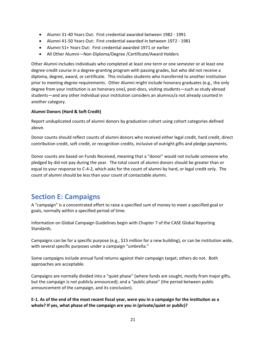- Alumni 31-40 Years Out: First credential awarded between 1982 1991
- Alumni 41-50 Years Out: First credential awarded in between 1972 1981
- Alumni 51+ Years Out: First credential awarded 1971 or earlier
- All Other Alumni—Non-Diploma/Degree /Certificate/Award Holders

Other Alumni includes individuals who completed at least one term or one semester or at least one degree-credit course in a degree-granting program with passing grades, but who did not receive a diploma, degree, award, or certificate. This includes students who transferred to another institution prior to meeting degree requirements. Other Alumni might include honorary graduates (e.g., the only degree from your institution is an honorary one), post-docs, visiting students—such as study abroad students—and any other individual your institution considers an alumnus/a not already counted in another category.

### **Alumni Donors (Hard & Soft Credit)**

Report unduplicated counts of alumni donors by graduation cohort using cohort categories defined above.

Donor counts should reflect counts of alumni donors who received either legal credit, hard credit, direct contribution credit, soft credit, or recognition credits, inclusive of outright gifts and pledge payments.

Donor counts are based on Funds Received, meaning that a "donor" would not include someone who pledged by did not pay during the year. The total count of alumni donors should be greater than or equal to your response to C-4-2, which asks for the count of alumni by hard, or legal credit only. The count of alumni should be less than your count of contactable alumni.

### <span id="page-20-0"></span>**Section E: Campaigns**

A "campaign" is a concentrated effort to raise a specified sum of money to meet a specified goal or goals, normally within a specified period of time.

Information on Global Campaign Guidelines begin with Chapter 7 of the CASE Global Reporting Standards.

Campaigns can be for a specific purpose (e.g., \$15 million for a new building), or can be institution wide, with several specific purposes under a campaign "umbrella."

Some campaigns include annual fund returns against their campaign target; others do not. Both approaches are acceptable.

Campaigns are normally divided into a "quiet phase" (where funds are sought, mostly from major gifts, but the campaign is not publicly announced); and a "public phase" (the period between public announcement of the campaign, and its conclusion).

**E-1. As of the end of the most recent fiscal year, were you in a campaign for the institution as a whole? If yes, what phase of the campaign are you in (private/quiet or public)?**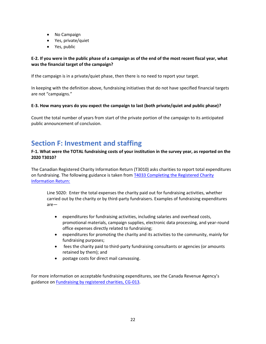- No Campaign
- Yes, private/quiet
- Yes, public

### **E-2. If you were in the public phase of a campaign as of the end of the most recent fiscal year, what was the financial target of the campaign?**

If the campaign is in a private/quiet phase, then there is no need to report your target.

In keeping with the definition above, fundraising initiatives that do not have specified financial targets are not "campaigns."

### **E-3. How many years do you expect the campaign to last (both private/quiet and public phase)?**

Count the total number of years from start of the private portion of the campaign to its anticipated public announcement of conclusion.

### <span id="page-21-0"></span>**Section F: Investment and staffing**

### **F-1. What were the TOTAL fundraising costs of your institution in the survey year, as reported on the 2020 T3010?**

The Canadian Registered Charity Information Return (T3010) asks charities to report total expenditures on fundraising. The following guidance is taken from [T4033 Completing the Registered Charity](https://www.canada.ca/content/dam/cra-arc/formspubs/pub/t4033/t4033-17e.pdf)  [Information Return:](https://www.canada.ca/content/dam/cra-arc/formspubs/pub/t4033/t4033-17e.pdf)

Line 5020: Enter the total expenses the charity paid out for fundraising activities, whether carried out by the charity or by third-party fundraisers. Examples of fundraising expenditures are—

- expenditures for fundraising activities, including salaries and overhead costs, promotional materials, campaign supplies, electronic data processing, and year-round office expenses directly related to fundraising;
- expenditures for promoting the charity and its activities to the community, mainly for fundraising purposes;
- fees the charity paid to third-party fundraising consultants or agencies (or amounts retained by them); and
- postage costs for direct mail canvassing.

For more information on acceptable fundraising expenditures, see the Canada Revenue Agency's guidance on [Fundraising by registered charities, CG-013.](https://www.canada.ca/en/revenue-agency/services/charities-giving/charities/policies-guidance/fundraising-registered-charities-guidance.html)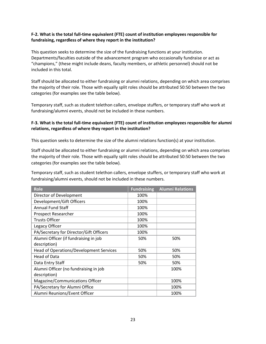### **F-2. What is the total full-time equivalent (FTE) count of institution employees responsible for fundraising, regardless of where they report in the institution?**

This question seeks to determine the size of the fundraising functions at your institution. Departments/faculties outside of the advancement program who occasionally fundraise or act as "champions," (these might include deans, faculty members, or athletic personnel) should not be included in this total.

Staff should be allocated to either fundraising or alumni relations, depending on which area comprises the majority of their role. Those with equally split roles should be attributed 50:50 between the two categories (for examples see the table below).

Temporary staff, such as student telethon callers, envelope stuffers, or temporary staff who work at fundraising/alumni events, should not be included in these numbers.

### **F-3. What is the total full-time equivalent (FTE) count of institution employees responsible for alumni relations, regardless of where they report in the institution?**

This question seeks to determine the size of the alumni relations function(s) at your institution.

Staff should be allocated to either fundraising or alumni relations, depending on which area comprises the majority of their role. Those with equally split roles should be attributed 50:50 between the two categories (for examples see the table below).

Temporary staff, such as student telethon callers, envelope stuffers, or temporary staff who work at fundraising/alumni events, should not be included in these numbers.

| <b>Role</b>                             | <b>Fundraising</b> | <b>Alumni Relations</b> |
|-----------------------------------------|--------------------|-------------------------|
| Director of Development                 | 100%               |                         |
| Development/Gift Officers               | 100%               |                         |
| <b>Annual Fund Staff</b>                | 100%               |                         |
| Prospect Researcher                     | 100%               |                         |
| <b>Trusts Officer</b>                   | 100%               |                         |
| Legacy Officer                          | 100%               |                         |
| PA/Secretary for Director/Gift Officers | 100%               |                         |
| Alumni Officer (if fundraising in job   | 50%                | 50%                     |
| description)                            |                    |                         |
| Head of Operations/Development Services | 50%                | 50%                     |
| Head of Data                            | 50%                | 50%                     |
| Data Entry Staff                        | 50%                | 50%                     |
| Alumni Officer (no fundraising in job   |                    | 100%                    |
| description)                            |                    |                         |
| Magazine/Communications Officer         |                    | 100%                    |
| PA/Secretary for Alumni Office          |                    | 100%                    |
| Alumni Reunions/Event Officer           |                    | 100%                    |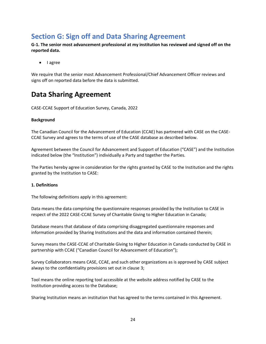## <span id="page-23-0"></span>**Section G: Sign off and Data Sharing Agreement**

**G-1. The senior most advancement professional at my institution has reviewed and signed off on the reported data.** 

• I agree

We require that the senior most Advancement Professional/Chief Advancement Officer reviews and signs off on reported data before the data is submitted.

### **Data Sharing Agreement**

CASE-CCAE Support of Education Survey, Canada, 2022

#### **Background**

The Canadian Council for the Advancement of Education (CCAE) has partnered with CASE on the CASE-CCAE Survey and agrees to the terms of use of the CASE database as described below.

Agreement between the Council for Advancement and Support of Education ("CASE") and the Institution indicated below (the "Institution") individually a Party and together the Parties.

The Parties hereby agree in consideration for the rights granted by CASE to the Institution and the rights granted by the Institution to CASE:

#### **1. Definitions**

The following definitions apply in this agreement:

Data means the data comprising the questionnaire responses provided by the Institution to CASE in respect of the 2022 CASE-CCAE Survey of Charitable Giving to Higher Education in Canada;

Database means that database of data comprising disaggregated questionnaire responses and information provided by Sharing Institutions and the data and information contained therein;

Survey means the CASE-CCAE of Charitable Giving to Higher Education in Canada conducted by CASE in partnership with CCAE ("Canadian Council for Advancement of Education");

Survey Collaborators means CASE, CCAE, and such other organizations as is approved by CASE subject always to the confidentiality provisions set out in clause 3;

Tool means the online reporting tool accessible at the website address notified by CASE to the Institution providing access to the Database;

Sharing Institution means an institution that has agreed to the terms contained in this Agreement.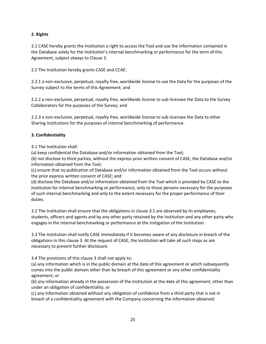### **2. Rights**

2.1 CASE hereby grants the Institution a right to access the Tool and use the information contained in the Database solely for the Institution's internal benchmarking or performance for the term of this Agreement, subject always to Clause 3.

2.2 The Institution hereby grants CASE and CCAE:

2.2.1 a non-exclusive, perpetual, royalty free, worldwide license to use the Data for the purposes of the Survey subject to the terms of this Agreement; and

2.2.2 a non-exclusive, perpetual, royalty free, worldwide license to sub-licensee the Data to the Survey Collaborators for the purposes of the Survey; and

2.2.3 a non-exclusive, perpetual, royalty free, worldwide license to sub-licensee the Data to other Sharing Institutions for the purposes of internal benchmarking of performance.

### **3. Confidentiality**

3.1 The Institution shall:

(a) keep confidential the Database and/or information obtained from the Tool;

(b) not disclose to third parties, without the express prior written consent of CASE, the Database and/or information obtained from the Tool;

(c) ensure that no publication of Database and/or information obtained from the Tool occurs without the prior express written consent of CASE; and

(d) disclose the Database and/or information obtained from the Tool which is provided by CASE to the Institution for internal benchmarking or performance, only to those persons necessary for the purposes of such internal benchmarking and only to the extent necessary for the proper performance of their duties.

3.2 The Institution shall ensure that the obligations in clause 3.1 are observed by its employees, students, officers and agents and by any other party retained by the Institution and any other party who engages in the internal benchmarking or performance at the instigation of the Institution.

3.3 The Institution shall notify CASE immediately if it becomes aware of any disclosure in breach of the obligations in this clause 3. At the request of CASE, the Institution will take all such steps as are necessary to prevent further disclosure.

3.4 The provisions of this clause 3 shall not apply to:

(a) any information which is in the public domain at the date of this agreement or which subsequently comes into the public domain other than by breach of this agreement or any other confidentiality agreement; or

(b) any information already in the possession of the Institution at the date of this agreement, other than under an obligation of confidentiality; or

(c) any information obtained without any obligation of confidence from a third party that is not in breach of a confidentiality agreement with the Company concerning the information obtained;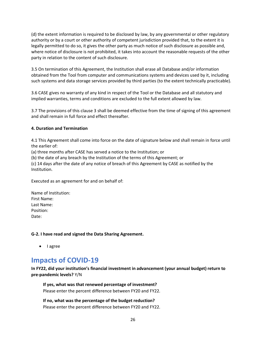(d) the extent information is required to be disclosed by law, by any governmental or other regulatory authority or by a court or other authority of competent jurisdiction provided that, to the extent it is legally permitted to do so, it gives the other party as much notice of such disclosure as possible and, where notice of disclosure is not prohibited, it takes into account the reasonable requests of the other party in relation to the content of such disclosure.

3.5 On termination of this Agreement, the Institution shall erase all Database and/or information obtained from the Tool from computer and communications systems and devices used by it, including such systems and data storage services provided by third parties (to the extent technically practicable).

3.6 CASE gives no warranty of any kind in respect of the Tool or the Database and all statutory and implied warranties, terms and conditions are excluded to the full extent allowed by law.

3.7 The provisions of this clause 3 shall be deemed effective from the time of signing of this agreement and shall remain in full force and effect thereafter.

### **4. Duration and Termination**

4.1 This Agreement shall come into force on the date of signature below and shall remain in force until the earlier of:

(a) three months after CASE has served a notice to the Institution; or

(b) the date of any breach by the Institution of the terms of this Agreement; or

(c) 14 days after the date of any notice of breach of this Agreement by CASE as notified by the Institution.

Executed as an agreement for and on behalf of:

| Name of Institution: |
|----------------------|
| First Name:          |
| Last Name:           |
| Position:            |
| Date:                |

**G-2. I have read and signed the Data Sharing Agreement.** 

• I agree

### <span id="page-25-0"></span>**Impacts of COVID-19**

**In FY22, did your institution's financial investment in advancement (your annual budget) return to pre-pandemic levels?** Y/N

**If yes, what was that renewed percentage of investment?**  Please enter the percent difference between FY20 and FY22.

**If no, what was the percentage of the budget reduction?** Please enter the percent difference between FY20 and FY22.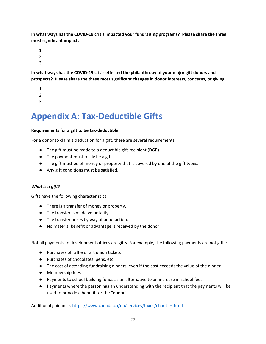**In what ways has the COVID-19 crisis impacted your fundraising programs? Please share the three most significant impacts:**

- 1.
- 2.
- 3.

**In what ways has the COVID-19 crisis effected the philanthropy of your major gift donors and prospects? Please share the three most significant changes in donor interests, concerns, or giving.** 

- 1.
- 2.
- 3.

# <span id="page-26-0"></span>**Appendix A: Tax-Deductible Gifts**

### **Requirements for a gift to be tax-deductible**

For a donor to claim a deduction for a gift, there are several requirements:

- The gift must be made to a deductible gift recipient (DGR).
- The payment must really be a gift.
- The gift must be of money or property that is covered by one of the gift types.
- Any gift conditions must be satisfied.

### *What is a gift?*

Gifts have the following characteristics:

- There is a transfer of money or property.
- The transfer is made voluntarily.
- The transfer arises by way of benefaction.
- No material benefit or advantage is received by the donor.

Not all payments to development offices are gifts. For example, the following payments are not gifts:

- Purchases of raffle or art union tickets
- Purchases of chocolates, pens, etc.
- The cost of attending fundraising dinners, even if the cost exceeds the value of the dinner
- Membership fees
- Payments to school building funds as an alternative to an increase in school fees
- Payments where the person has an understanding with the recipient that the payments will be used to provide a benefit for the "donor"

Additional guidance:<https://www.canada.ca/en/services/taxes/charities.html>